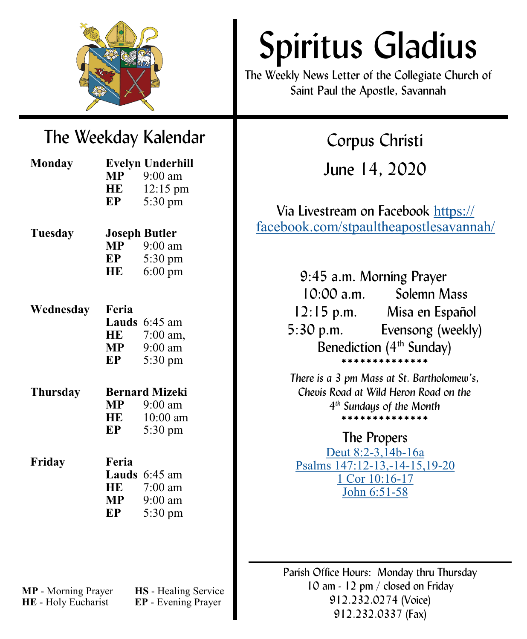

# Spiritus Gladius

The Weekly News Letter of the Collegiate Church of Saint Paul the Apostle, Savannah

Corpus Christi

June 14, 2020

# The Weekday Kalendar

| <b>Monday</b> |                       | <b>Evelyn Underhill</b> |
|---------------|-----------------------|-------------------------|
|               | <b>MP</b>             | $9:00 \text{ am}$       |
|               | <b>HE</b>             | $12:15 \text{ pm}$      |
|               | EP                    | 5:30 pm                 |
| Tuesday       |                       | <b>Joseph Butler</b>    |
|               |                       | $MP$ 9:00 am            |
|               | EP                    | 5:30 pm                 |
|               | HE                    | $6:00 \text{ pm}$       |
|               |                       |                         |
| Wednesday     | Feria                 |                         |
|               |                       | <b>Lauds</b> $6:45$ am  |
|               | HE                    | 7:00 am,                |
|               | MP —                  | $9:00$ am               |
|               | EP                    | $5:30 \text{ pm}$       |
| Thursday      | <b>Bernard Mizeki</b> |                         |
|               | <b>MP</b>             | $9:00$ am               |
|               | HE                    | $10:00$ am              |
|               | EP                    | 5:30 pm                 |
| Friday        | Feria                 |                         |
|               |                       | <b>Lauds</b> $6:45$ am  |
|               | HE                    | $7:00$ am               |
|               | $\bf{MP}$             | $9:00$ am               |
|               | EP                    | $5:30 \text{ pm}$       |
|               |                       |                         |

# Via Livestream on Facebook [https://](https://facebook.com/stpaultheapostlesavannah/) [facebook.com/stpaultheapostlesavannah/](https://facebook.com/stpaultheapostlesavannah/) 9:45 a.m. Morning Prayer 10:00 a.m. Solemn Mass 12:15 p.m. Misa en Español

5:30 p.m. Evensong (weekly) Benediction  $(4<sup>th</sup>$  Sunday) \*\*\*\*\*\*\*\*\*\*\*\*\*\*

*There is a 3 pm Mass at St. Bartholomew's, Chevis Road at Wild Heron Road on the 4 th Sundays of the Month* \*\*\*\*\*\*\*\*\*\*\*\*\*\*

### The Propers

[Deut 8:2](http://www.liturgies.net/Liturgies/Catholic/roman_missal/readings/corpuschristia.htm#first)-3,14b-16a [Psalms 147:12](http://www.liturgies.net/Liturgies/Catholic/roman_missal/readings/corpuschristia.htm#psalm)-13,-14-15,19-20 [1 Cor 10:16](http://www.liturgies.net/Liturgies/Catholic/roman_missal/readings/corpuschristia.htm#second)-17 [John 6:51](http://www.liturgies.net/Liturgies/Catholic/roman_missal/readings/corpuschristia.htm#gospel)-58

Parish Office Hours: Monday thru Thursday 10 am - 12 pm / closed on Friday 912.232.0274 (Voice) 912.232.0337 (Fax)

**MP** - Morning Prayer **HS** - Healing Service **HE** - Holy Eucharist **EP** - Evening Prayer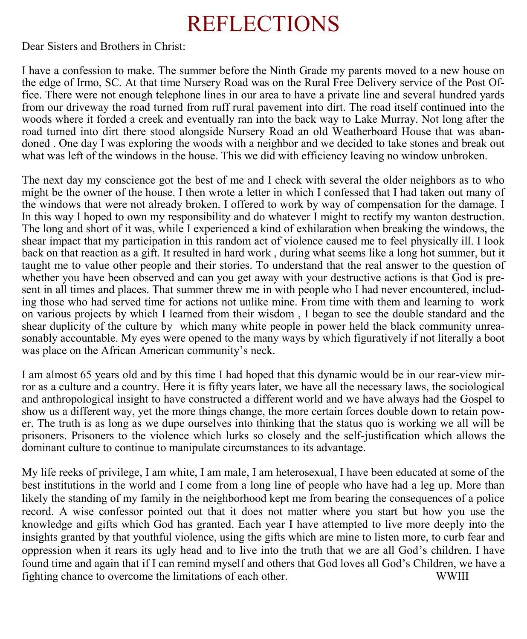# REFLECTIONS

Dear Sisters and Brothers in Christ:

I have a confession to make. The summer before the Ninth Grade my parents moved to a new house on the edge of Irmo, SC. At that time Nursery Road was on the Rural Free Delivery service of the Post Office. There were not enough telephone lines in our area to have a private line and several hundred yards from our driveway the road turned from ruff rural pavement into dirt. The road itself continued into the woods where it forded a creek and eventually ran into the back way to Lake Murray. Not long after the road turned into dirt there stood alongside Nursery Road an old Weatherboard House that was abandoned . One day I was exploring the woods with a neighbor and we decided to take stones and break out what was left of the windows in the house. This we did with efficiency leaving no window unbroken.

The next day my conscience got the best of me and I check with several the older neighbors as to who might be the owner of the house. I then wrote a letter in which I confessed that I had taken out many of the windows that were not already broken. I offered to work by way of compensation for the damage. I In this way I hoped to own my responsibility and do whatever I might to rectify my wanton destruction. The long and short of it was, while I experienced a kind of exhilaration when breaking the windows, the shear impact that my participation in this random act of violence caused me to feel physically ill. I look back on that reaction as a gift. It resulted in hard work , during what seems like a long hot summer, but it taught me to value other people and their stories. To understand that the real answer to the question of whether you have been observed and can you get away with your destructive actions is that God is present in all times and places. That summer threw me in with people who I had never encountered, including those who had served time for actions not unlike mine. From time with them and learning to work on various projects by which I learned from their wisdom , I began to see the double standard and the shear duplicity of the culture by which many white people in power held the black community unreasonably accountable. My eyes were opened to the many ways by which figuratively if not literally a boot was place on the African American community's neck.

I am almost 65 years old and by this time I had hoped that this dynamic would be in our rear-view mirror as a culture and a country. Here it is fifty years later, we have all the necessary laws, the sociological and anthropological insight to have constructed a different world and we have always had the Gospel to show us a different way, yet the more things change, the more certain forces double down to retain power. The truth is as long as we dupe ourselves into thinking that the status quo is working we all will be prisoners. Prisoners to the violence which lurks so closely and the self-justification which allows the dominant culture to continue to manipulate circumstances to its advantage.

My life reeks of privilege, I am white, I am male, I am heterosexual, I have been educated at some of the best institutions in the world and I come from a long line of people who have had a leg up. More than likely the standing of my family in the neighborhood kept me from bearing the consequences of a police record. A wise confessor pointed out that it does not matter where you start but how you use the knowledge and gifts which God has granted. Each year I have attempted to live more deeply into the insights granted by that youthful violence, using the gifts which are mine to listen more, to curb fear and oppression when it rears its ugly head and to live into the truth that we are all God's children. I have found time and again that if I can remind myself and others that God loves all God's Children, we have a fighting chance to overcome the limitations of each other. WWIII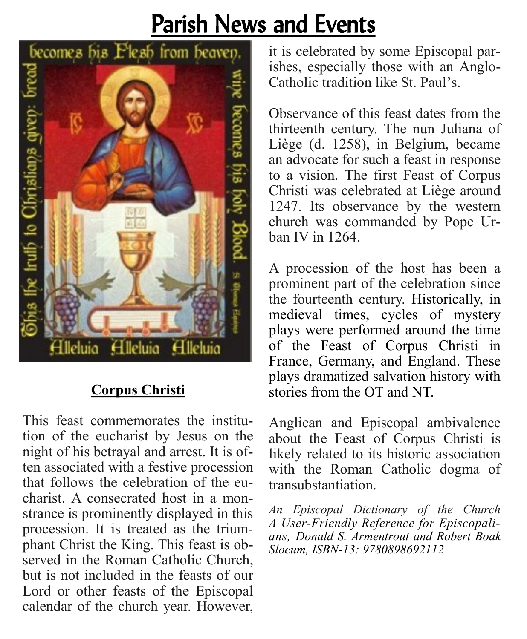# Parish News and Events



# **Corpus Christi**

This feast commemorates the institution of the eucharist by Jesus on the night of his betrayal and arrest. It is often associated with a festive procession that follows the celebration of the eucharist. A consecrated host in a monstrance is prominently displayed in this procession. It is treated as the triumphant Christ the King. This feast is observed in the Roman Catholic Church, but is not included in the feasts of our Lord or other feasts of the Episcopal calendar of the church year. However,

it is celebrated by some Episcopal parishes, especially those with an Anglo-Catholic tradition like St. Paul's.

Observance of this feast dates from the thirteenth century. The nun Juliana of Liège (d. 1258), in Belgium, became an advocate for such a feast in response to a vision. The first Feast of Corpus Christi was celebrated at Liège around 1247. Its observance by the western church was commanded by Pope Urban IV in 1264.

A procession of the host has been a prominent part of the celebration since the fourteenth century. Historically, in medieval times, cycles of mystery plays were performed around the time of the Feast of Corpus Christi in France, Germany, and England. These plays dramatized salvation history with stories from the OT and NT.

Anglican and Episcopal ambivalence about the Feast of Corpus Christi is likely related to its historic association with the Roman Catholic dogma of transubstantiation.

*An Episcopal Dictionary of the Church A User-Friendly Reference for Episcopalians, Donald S. Armentrout and Robert Boak Slocum, ISBN-13: 9780898692112*